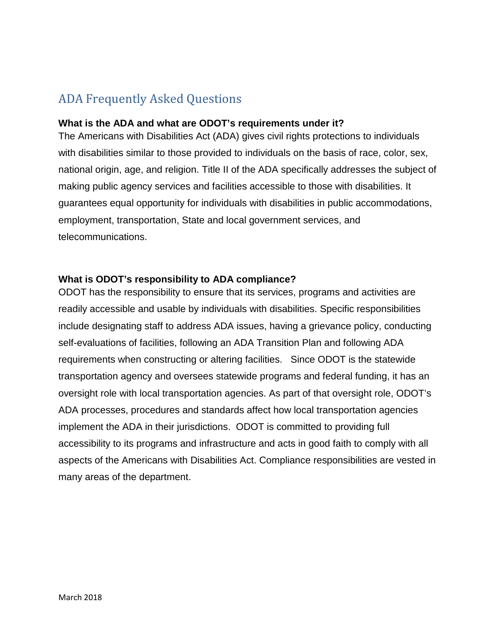# ADA Frequently Asked Questions

#### **What is the ADA and what are ODOT's requirements under it?**

The Americans with Disabilities Act (ADA) gives civil rights protections to individuals with disabilities similar to those provided to individuals on the basis of race, color, sex, national origin, age, and religion. Title II of the ADA specifically addresses the subject of making public agency services and facilities accessible to those with disabilities. It guarantees equal opportunity for individuals with disabilities in public accommodations, employment, transportation, State and local government services, and telecommunications.

#### **What is ODOT's responsibility to ADA compliance?**

ODOT has the responsibility to ensure that its services, programs and activities are readily accessible and usable by individuals with disabilities. Specific responsibilities include designating staff to address ADA issues, having a grievance policy, conducting self-evaluations of facilities, following an ADA Transition Plan and following ADA requirements when constructing or altering facilities. Since ODOT is the statewide transportation agency and oversees statewide programs and federal funding, it has an oversight role with local transportation agencies. As part of that oversight role, ODOT's ADA processes, procedures and standards affect how local transportation agencies implement the ADA in their jurisdictions. ODOT is committed to providing full accessibility to its programs and infrastructure and acts in good faith to comply with all aspects of the Americans with Disabilities Act. Compliance responsibilities are vested in many areas of the department.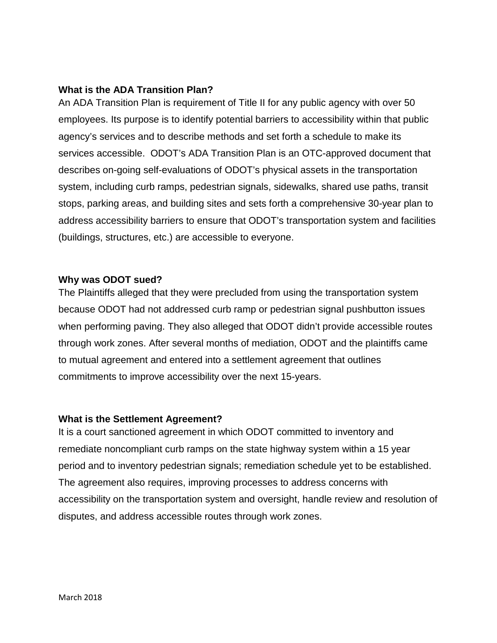## **What is the ADA Transition Plan?**

An ADA Transition Plan is requirement of Title II for any public agency with over 50 employees. Its purpose is to identify potential barriers to accessibility within that public agency's services and to describe methods and set forth a schedule to make its services accessible. ODOT's ADA Transition Plan is an OTC-approved document that describes on-going self-evaluations of ODOT's physical assets in the transportation system, including curb ramps, pedestrian signals, sidewalks, shared use paths, transit stops, parking areas, and building sites and sets forth a comprehensive 30-year plan to address accessibility barriers to ensure that ODOT's transportation system and facilities (buildings, structures, etc.) are accessible to everyone.

#### **Why was ODOT sued?**

The Plaintiffs alleged that they were precluded from using the transportation system because ODOT had not addressed curb ramp or pedestrian signal pushbutton issues when performing paving. They also alleged that ODOT didn't provide accessible routes through work zones. After several months of mediation, ODOT and the plaintiffs came to mutual agreement and entered into a settlement agreement that outlines commitments to improve accessibility over the next 15-years.

#### **What is the Settlement Agreement?**

It is a court sanctioned agreement in which ODOT committed to inventory and remediate noncompliant curb ramps on the state highway system within a 15 year period and to inventory pedestrian signals; remediation schedule yet to be established. The agreement also requires, improving processes to address concerns with accessibility on the transportation system and oversight, handle review and resolution of disputes, and address accessible routes through work zones.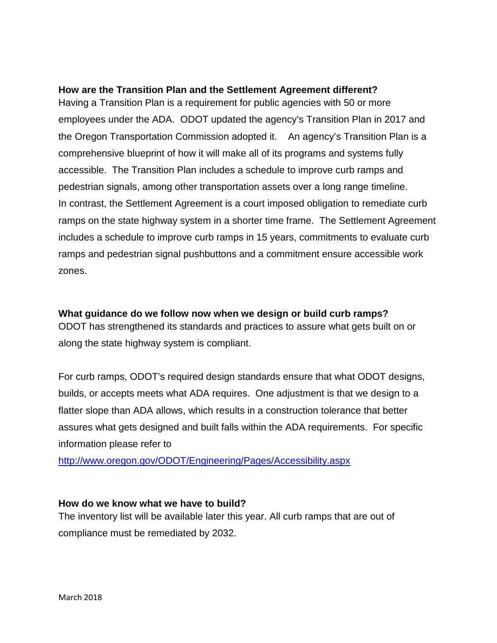## **How are the Transition Plan and the Settlement Agreement different?**

Having a Transition Plan is a requirement for public agencies with 50 or more employees under the ADA. ODOT updated the agency's Transition Plan in 2017 and the Oregon Transportation Commission adopted it. An agency's Transition Plan is a comprehensive blueprint of how it will make all of its programs and systems fully accessible. The Transition Plan includes a schedule to improve curb ramps and pedestrian signals, among other transportation assets over a long range timeline. In contrast, the Settlement Agreement is a court imposed obligation to remediate curb ramps on the state highway system in a shorter time frame. The Settlement Agreement includes a schedule to improve curb ramps in 15 years, commitments to evaluate curb ramps and pedestrian signal pushbuttons and a commitment ensure accessible work zones.

# **What guidance do we follow now when we design or build curb ramps?**

ODOT has strengthened its standards and practices to assure what gets built on or along the state highway system is compliant.

For curb ramps, ODOT's required design standards ensure that what ODOT designs, builds, or accepts meets what ADA requires. One adjustment is that we design to a flatter slope than ADA allows, which results in a construction tolerance that better assures what gets designed and built falls within the ADA requirements. For specific information please refer to

<http://www.oregon.gov/ODOT/Engineering/Pages/Accessibility.aspx>

#### **How do we know what we have to build?**

The inventory list will be available later this year. All curb ramps that are out of compliance must be remediated by 2032.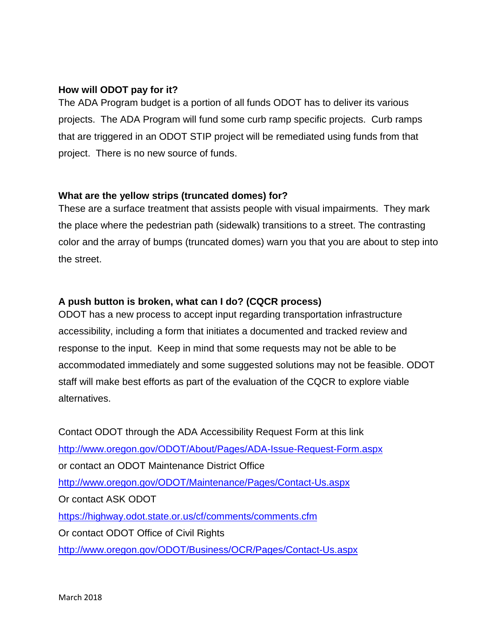## **How will ODOT pay for it?**

The ADA Program budget is a portion of all funds ODOT has to deliver its various projects. The ADA Program will fund some curb ramp specific projects. Curb ramps that are triggered in an ODOT STIP project will be remediated using funds from that project. There is no new source of funds.

## **What are the yellow strips (truncated domes) for?**

These are a surface treatment that assists people with visual impairments. They mark the place where the pedestrian path (sidewalk) transitions to a street. The contrasting color and the array of bumps (truncated domes) warn you that you are about to step into the street.

# **A push button is broken, what can I do? (CQCR process)**

ODOT has a new process to accept input regarding transportation infrastructure accessibility, including a form that initiates a documented and tracked review and response to the input. Keep in mind that some requests may not be able to be accommodated immediately and some suggested solutions may not be feasible. ODOT staff will make best efforts as part of the evaluation of the CQCR to explore viable alternatives.

Contact ODOT through the ADA Accessibility Request Form at this link <http://www.oregon.gov/ODOT/About/Pages/ADA-Issue-Request-Form.aspx> or contact an ODOT Maintenance District Office <http://www.oregon.gov/ODOT/Maintenance/Pages/Contact-Us.aspx> Or contact ASK ODOT <https://highway.odot.state.or.us/cf/comments/comments.cfm> Or contact ODOT Office of Civil Rights <http://www.oregon.gov/ODOT/Business/OCR/Pages/Contact-Us.aspx>